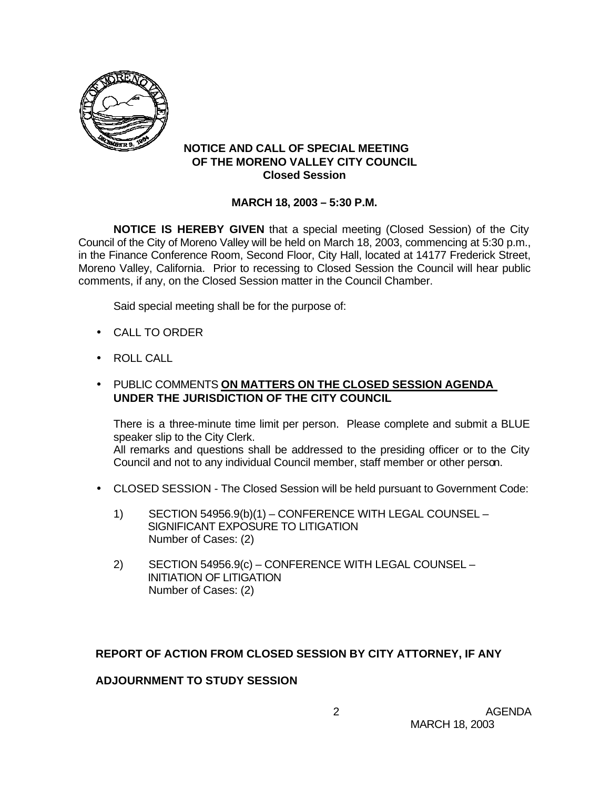

#### **NOTICE AND CALL OF SPECIAL MEETING OF THE MORENO VALLEY CITY COUNCIL Closed Session**

# **MARCH 18, 2003 – 5:30 P.M.**

**NOTICE IS HEREBY GIVEN** that a special meeting (Closed Session) of the City Council of the City of Moreno Valley will be held on March 18, 2003, commencing at 5:30 p.m., in the Finance Conference Room, Second Floor, City Hall, located at 14177 Frederick Street, Moreno Valley, California. Prior to recessing to Closed Session the Council will hear public comments, if any, on the Closed Session matter in the Council Chamber.

Said special meeting shall be for the purpose of:

- CALL TO ORDER
- ROLL CALL
- PUBLIC COMMENTS **ON MATTERS ON THE CLOSED SESSION AGENDA UNDER THE JURISDICTION OF THE CITY COUNCIL**

There is a three-minute time limit per person. Please complete and submit a BLUE speaker slip to the City Clerk.

All remarks and questions shall be addressed to the presiding officer or to the City Council and not to any individual Council member, staff member or other person.

- CLOSED SESSION The Closed Session will be held pursuant to Government Code:
	- 1) SECTION 54956.9(b)(1) CONFERENCE WITH LEGAL COUNSEL SIGNIFICANT EXPOSURE TO LITIGATION Number of Cases: (2)
	- 2) SECTION 54956.9(c) CONFERENCE WITH LEGAL COUNSEL INITIATION OF LITIGATION Number of Cases: (2)

## **REPORT OF ACTION FROM CLOSED SESSION BY CITY ATTORNEY, IF ANY**

## **ADJOURNMENT TO STUDY SESSION**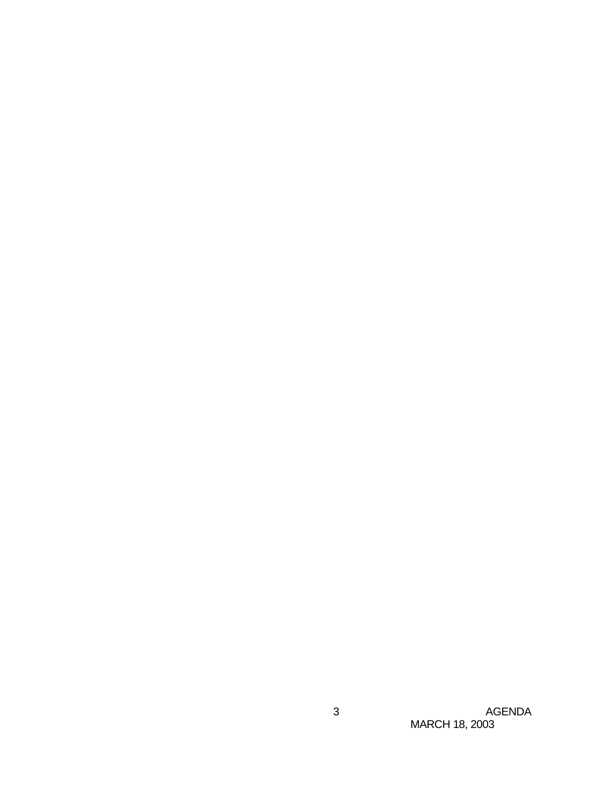3 AGENDA MARCH 18, 2003